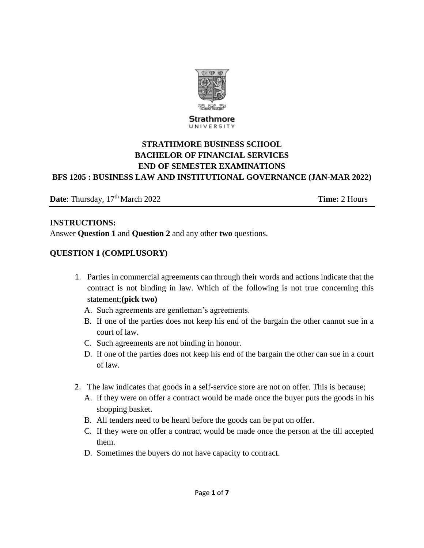

#### Strathmore UNIVERSITY

# **STRATHMORE BUSINESS SCHOOL BACHELOR OF FINANCIAL SERVICES END OF SEMESTER EXAMINATIONS BFS 1205 : BUSINESS LAW AND INSTITUTIONAL GOVERNANCE (JAN-MAR 2022)**

**Date**: Thursday, 17<sup>th</sup> March 2022 **Time:** 2 Hours

#### **INSTRUCTIONS:**

Answer **Question 1** and **Question 2** and any other **two** questions.

#### **QUESTION 1 (COMPLUSORY)**

- 1. Parties in commercial agreements can through their words and actions indicate that the contract is not binding in law. Which of the following is not true concerning this statement;**(pick two)** 
	- A. Such agreements are gentleman's agreements.
	- B. If one of the parties does not keep his end of the bargain the other cannot sue in a court of law.
	- C. Such agreements are not binding in honour.
	- D. If one of the parties does not keep his end of the bargain the other can sue in a court of law.
- 2. The law indicates that goods in a self-service store are not on offer. This is because;
	- A. If they were on offer a contract would be made once the buyer puts the goods in his shopping basket.
	- B. All tenders need to be heard before the goods can be put on offer.
	- C. If they were on offer a contract would be made once the person at the till accepted them.
	- D. Sometimes the buyers do not have capacity to contract.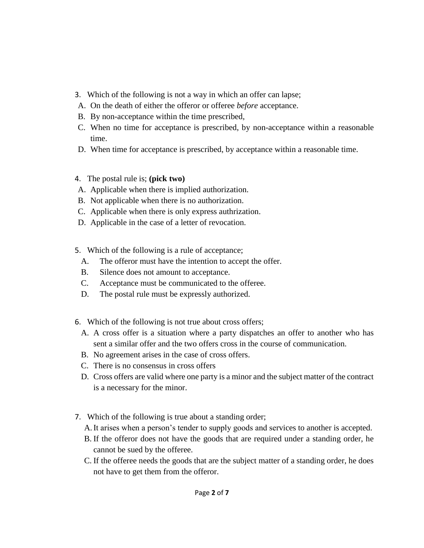- 3. Which of the following is not a way in which an offer can lapse;
- A. On the death of either the offeror or offeree *before* acceptance.
- B. By non-acceptance within the time prescribed,
- C. When no time for acceptance is prescribed, by non-acceptance within a reasonable time.
- D. When time for acceptance is prescribed, by acceptance within a reasonable time.
- 4. The postal rule is; **(pick two)**
- A. Applicable when there is implied authorization.
- B. Not applicable when there is no authorization.
- C. Applicable when there is only express authrization.
- D. Applicable in the case of a letter of revocation.
- 5. Which of the following is a rule of acceptance;
	- A. The offeror must have the intention to accept the offer.
	- B. Silence does not amount to acceptance.
	- C. Acceptance must be communicated to the offeree.
	- D. The postal rule must be expressly authorized.
- 6. Which of the following is not true about cross offers;
	- A. A cross offer is a situation where a party dispatches an offer to another who has sent a similar offer and the two offers cross in the course of communication.
	- B. No agreement arises in the case of cross offers.
	- C. There is no consensus in cross offers
	- D. Cross offers are valid where one party is a minor and the subject matter of the contract is a necessary for the minor.
- 7. Which of the following is true about a standing order;
	- A.It arises when a person's tender to supply goods and services to another is accepted.
	- B. If the offeror does not have the goods that are required under a standing order, he cannot be sued by the offeree.
	- C. If the offeree needs the goods that are the subject matter of a standing order, he does not have to get them from the offeror.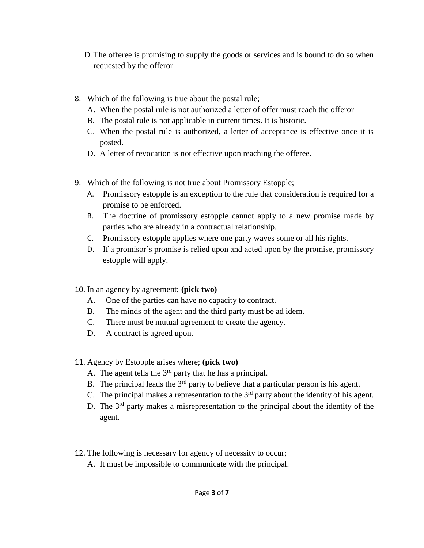- D.The offeree is promising to supply the goods or services and is bound to do so when requested by the offeror.
- 8. Which of the following is true about the postal rule;
	- A. When the postal rule is not authorized a letter of offer must reach the offeror
	- B. The postal rule is not applicable in current times. It is historic.
	- C. When the postal rule is authorized, a letter of acceptance is effective once it is posted.
	- D. A letter of revocation is not effective upon reaching the offeree.
- 9. Which of the following is not true about Promissory Estopple;
	- A. Promissory estopple is an exception to the rule that consideration is required for a promise to be enforced.
	- B. The doctrine of promissory estopple cannot apply to a new promise made by parties who are already in a contractual relationship.
	- C. Promissory estopple applies where one party waves some or all his rights.
	- D. If a promisor's promise is relied upon and acted upon by the promise, promissory estopple will apply.
- 10. In an agency by agreement; **(pick two)**
	- A. One of the parties can have no capacity to contract.
	- B. The minds of the agent and the third party must be ad idem.
	- C. There must be mutual agreement to create the agency.
	- D. A contract is agreed upon.
- 11. Agency by Estopple arises where; **(pick two)**
	- A. The agent tells the  $3<sup>rd</sup>$  party that he has a principal.
	- B. The principal leads the  $3<sup>rd</sup>$  party to believe that a particular person is his agent.
	- C. The principal makes a representation to the  $3<sup>rd</sup>$  party about the identity of his agent.
	- D. The 3<sup>rd</sup> party makes a misrepresentation to the principal about the identity of the agent.
- 12. The following is necessary for agency of necessity to occur;
	- A. It must be impossible to communicate with the principal.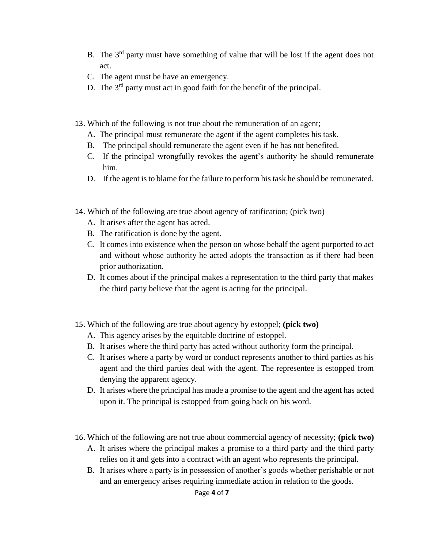- B. The 3rd party must have something of value that will be lost if the agent does not act.
- C. The agent must be have an emergency.
- D. The  $3<sup>rd</sup>$  party must act in good faith for the benefit of the principal.
- 13. Which of the following is not true about the remuneration of an agent;
	- A. The principal must remunerate the agent if the agent completes his task.
	- B. The principal should remunerate the agent even if he has not benefited.
	- C. If the principal wrongfully revokes the agent's authority he should remunerate him.
	- D. If the agent is to blame for the failure to perform his task he should be remunerated.
- 14. Which of the following are true about agency of ratification; (pick two)
	- A. It arises after the agent has acted.
	- B. The ratification is done by the agent.
	- C. It comes into existence when the person on whose behalf the agent purported to act and without whose authority he acted adopts the transaction as if there had been prior authorization.
	- D. It comes about if the principal makes a representation to the third party that makes the third party believe that the agent is acting for the principal.
- 15. Which of the following are true about agency by estoppel; **(pick two)**
	- A. This agency arises by the equitable doctrine of estoppel.
	- B. It arises where the third party has acted without authority form the principal.
	- C. It arises where a party by word or conduct represents another to third parties as his agent and the third parties deal with the agent. The representee is estopped from denying the apparent agency.
	- D. It arises where the principal has made a promise to the agent and the agent has acted upon it. The principal is estopped from going back on his word.
- 16. Which of the following are not true about commercial agency of necessity; **(pick two)**
	- A. It arises where the principal makes a promise to a third party and the third party relies on it and gets into a contract with an agent who represents the principal.
	- B. It arises where a party is in possession of another's goods whether perishable or not and an emergency arises requiring immediate action in relation to the goods.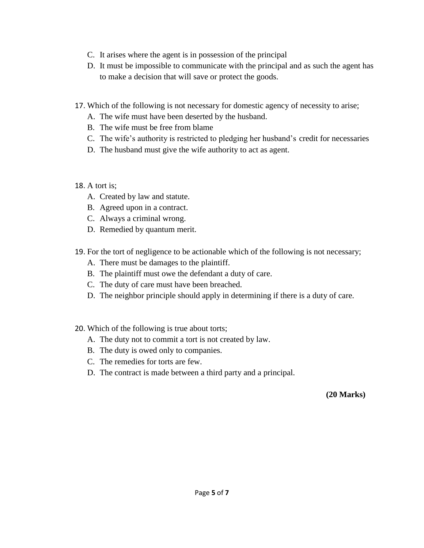- C. It arises where the agent is in possession of the principal
- D. It must be impossible to communicate with the principal and as such the agent has to make a decision that will save or protect the goods.
- 17. Which of the following is not necessary for domestic agency of necessity to arise;
	- A. The wife must have been deserted by the husband.
	- B. The wife must be free from blame
	- C. The wife's authority is restricted to pledging her husband's credit for necessaries
	- D. The husband must give the wife authority to act as agent.

# 18. A tort is;

- A. Created by law and statute.
- B. Agreed upon in a contract.
- C. Always a criminal wrong.
- D. Remedied by quantum merit.
- 19. For the tort of negligence to be actionable which of the following is not necessary;
	- A. There must be damages to the plaintiff.
	- B. The plaintiff must owe the defendant a duty of care.
	- C. The duty of care must have been breached.
	- D. The neighbor principle should apply in determining if there is a duty of care.
- 20. Which of the following is true about torts;
	- A. The duty not to commit a tort is not created by law.
	- B. The duty is owed only to companies.
	- C. The remedies for torts are few.
	- D. The contract is made between a third party and a principal.

 **(20 Marks)**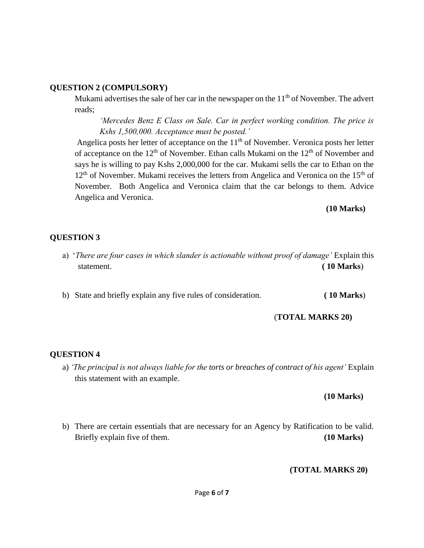#### **QUESTION 2 (COMPULSORY)**

Mukami advertises the sale of her car in the newspaper on the  $11<sup>th</sup>$  of November. The advert reads;

*'Mercedes Benz E Class on Sale. Car in perfect working condition. The price is Kshs 1,500,000. Acceptance must be posted.'*

Angelica posts her letter of acceptance on the  $11<sup>th</sup>$  of November. Veronica posts her letter of acceptance on the  $12<sup>th</sup>$  of November. Ethan calls Mukami on the  $12<sup>th</sup>$  of November and says he is willing to pay Kshs 2,000,000 for the car. Mukami sells the car to Ethan on the  $12<sup>th</sup>$  of November. Mukami receives the letters from Angelica and Veronica on the  $15<sup>th</sup>$  of November. Both Angelica and Veronica claim that the car belongs to them. Advice Angelica and Veronica.

#### **(10 Marks)**

# **QUESTION 3**

a) '*There are four cases in which slander is actionable without proof of damage'* Explain this statement. **(10 Marks**)

b) State and briefly explain any five rules of consideration. **( 10 Marks**)

(**TOTAL MARKS 20)**

# **QUESTION 4**

a) *'The principal is not always liable for the torts or breaches of contract of his agent'* Explain this statement with an example.

# **(10 Marks)**

b) There are certain essentials that are necessary for an Agency by Ratification to be valid. Briefly explain five of them. **(10 Marks)** 

# **(TOTAL MARKS 20)**